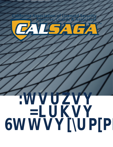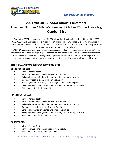

# **2021 Virtual CALSAGA Annual Conference Tuesday, October 19th, Wednesday, October 20th & Thursday, October 21st**

Due to the COVID-19 pandemic, the CALSAGA Board of Directors have elected to hold the 2021 CALSAGA Annual Conference in a virtual format. This decision was made as a safety precaution for our attendees, speakers, sponsors, exhibitors, staff and the public. This also provides the opportunity to expand our program to a broader audience.

CALSAGA has served as a voice for the private security industry for over twenty-five years. Virtual conference attendees can expect great programing and information to help run their businesses and make necessary adjustments during these unprecedented times. Virtual conference sponsors and vendors can expect interaction with conference attendees through our Virtual Exhibitor Hall.

# **2021 VIRTUAL ANNUAL CONFERENCE OPPORTUNITIES**

### **GOLD SPONSOR \$750**

- Virtual Vendor Booth
- Virtual Admission to the conference for 4 people
- Acknowledgement in the video bumper of each speaker session
- Company recognition during Opening Session
- Scrolling banner ad during sessions, agenda and attendee profiles
- Recognition in *The Californian: The Quarterly Newsletter of CALSAGA*
- Attendee contact list following the event

# **SILVER SPONSOR \$500**

- Virtual Vendor Booth
- Virtual Admission to the conference for 3 people
- Acknowledgement in the video bumper of each speaker session
- Company recognition during Opening Session
- Scrolling banner ad on agenda and attendee profiles
- Recognition in *The Californian: The Quarterly Newsletter of CALSAGA*
- Attendee contact list following the event

# **EXHIBITOR \$250**

- Virtual Vendor Booth
- Virtual Admission to the conference for 2 people
- Attendee contact list following the event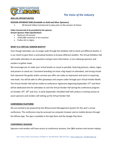

# *The Voice of the Industry*

#### **ADD-ON OPPORTUNITIES**

#### **SESSION SPONSOR \$500** *(Available to Gold and Silver Sponsors)*

• 30 Second Video Commercial to play prior to the session of choice

#### **Video Commercial to be provided by the sponsor. Session Sponsor Video Specifications**

- Maximum 30 seconds
- 1920x1080 resolution or 4k resolution
- ProRes 422 or higher

#### **WHAT IS A VIRTUAL VENDOR BOOTH?**

Even though attendees can no longer walk through the exhibitor hall to check out different booths, it is our intent to give them a centralized location to browse different exhibits. The Virtual Exhibitor Hall will enable attendees to ask questions and get more information, in turn allowing sponsors and vendors to gather leads.

We encourage you to make your virtual booths as visual as possible, featuring pictures, videos, logos, and posters to stand out. Consistent branding can have a big impact on attendees, and strong visuals that represent the goods and/or services you offer can make an impression and assist in acquiring new leads. You will be able to offer giveaways and coupon codes through your Virtual Vendor Booth. The Virtual Vendor Hall will be visible to conference registrants beginning September 27<sup>th</sup> and there will be dedicated time for attendees to visit the Virtual Vendor Hall during the conference program on October 19<sup>th</sup>, 20<sup>th</sup> and 21st. In early-September CALSAGA Staff will conduct a training session to assist sponsors and vendors will setting up the Virtual Vendor Hall.

#### **CONFERENCE PLATFORM**

We are excited to be powered by the Whova Event Management System for this year's virtual conference. The conference may be accessed via computer browser and on mobile devices through the Whova App. The app is available in the App Store and the Google Play Store.

#### **CONFERENCE SESSIONS**

Sponsors and vendors will have access to conference sessions, live Q&A sessions and session replays.